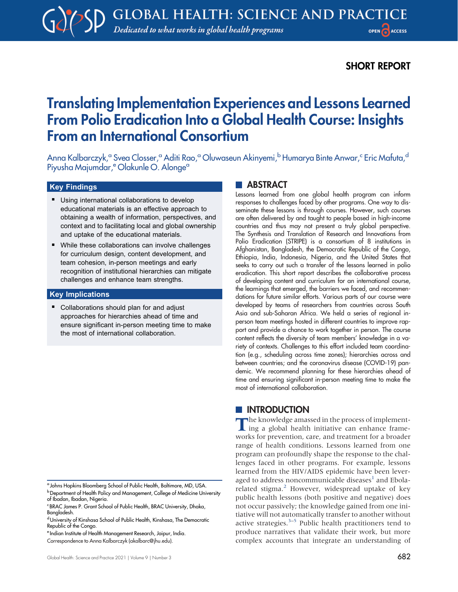# SHORT REPORT

# Translating Implementation Experiences and Lessons Learned From Polio Eradication Into a Global Health Course: Insights From an International Consortium

Anna Kalbarczyk,<sup>a</sup> Svea Closser,<sup>a</sup> Aditi Rao,<sup>a</sup> Oluwaseun Akinyemi,<sup>b</sup> Humarya Binte Anwar,<sup>c</sup> Eric Mafuta,<sup>d</sup> Piyusha Majumdar,<sup>e</sup> Olakunle O. Alonge<sup>a</sup>

#### Key Findings

- **Using international collaborations to develop** educational materials is an effective approach to obtaining a wealth of information, perspectives, and context and to facilitating local and global ownership and uptake of the educational materials.
- While these collaborations can involve challenges for curriculum design, content development, and team cohesion, in-person meetings and early recognition of institutional hierarchies can mitigate challenges and enhance team strengths.

#### Key Implications

■ Collaborations should plan for and adjust approaches for hierarchies ahead of time and ensure significant in-person meeting time to make the most of international collaboration.

#### **ABSTRACT**

Lessons learned from one global health program can inform responses to challenges faced by other programs. One way to disseminate these lessons is through courses. However, such courses are often delivered by and taught to people based in high-income countries and thus may not present a truly global perspective. The Synthesis and Translation of Research and Innovations from Polio Eradication (STRIPE) is a consortium of 8 institutions in Afghanistan, Bangladesh, the Democratic Republic of the Congo, Ethiopia, India, Indonesia, Nigeria, and the United States that seeks to carry out such a transfer of the lessons learned in polio eradication. This short report describes the collaborative process of developing content and curriculum for an international course, the learnings that emerged, the barriers we faced, and recommendations for future similar efforts. Various parts of our course were developed by teams of researchers from countries across South Asia and sub-Saharan Africa. We held a series of regional inperson team meetings hosted in different countries to improve rapport and provide a chance to work together in person. The course content reflects the diversity of team members' knowledge in a variety of contexts. Challenges to this effort included team coordination (e.g., scheduling across time zones); hierarchies across and between countries; and the coronavirus disease (COVID-19) pandemic. We recommend planning for these hierarchies ahead of time and ensuring significant in-person meeting time to make the most of international collaboration.

#### **INTRODUCTION**

The knowledge amassed in the process of implement-<br>ing a global health initiative can enhance frameworks for prevention, care, and treatment for a broader range of health conditions. Lessons learned from one program can profoundly shape the response to the challenges faced in other programs. For example, lessons learned from the HIV/AIDS epidemic have been lever-aged to address noncommunicable diseases<sup>[1](#page-7-0)</sup> and Ebola-related stigma.<sup>[2](#page-7-1)</sup> However, widespread uptake of key public health lessons (both positive and negative) does not occur passively; the knowledge gained from one initiative will not automatically transfer to another without active strategies. $3-5$  $3-5$  $3-5$  Public health practitioners tend to produce narratives that validate their work, but more complex accounts that integrate an understanding of

<sup>a</sup> Johns Hopkins Bloomberg School of Public Health, Baltimore, MD, USA. **b** Department of Health Policy and Management, College of Medicine University

of Ibadan, Ibadan, Nigeria. c BRAC James P. Grant School of Public Health, BRAC University, Dhaka,

Bangladesh.

dUniversity of Kinshasa School of Public Health, Kinshasa, The Democratic Republic of the Congo.

<sup>e</sup> Indian Institute of Health Management Research, Jaipur, India.

Correspondence to Anna Kalbarczyk [\(akalbarc@jhu.edu\)](mailto:akalbarc@jhu.edu).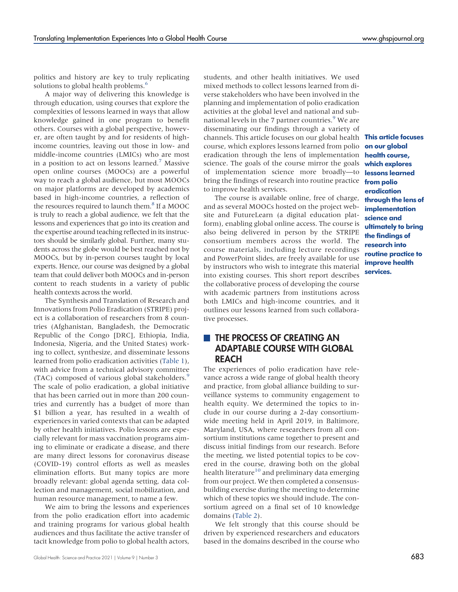politics and history are key to truly replicating solutions to global health problems.<sup>[6](#page-7-4)</sup>

A major way of delivering this knowledge is through education, using courses that explore the complexities of lessons learned in ways that allow knowledge gained in one program to benefit others. Courses with a global perspective, however, are often taught by and for residents of highincome countries, leaving out those in low- and middle-income countries (LMICs) who are most in a position to act on lessons learned.<sup>7</sup> Massive open online courses (MOOCs) are a powerful way to reach a global audience, but most MOOCs on major platforms are developed by academics based in high-income countries, a reflection of the resources required to launch them.<sup>[8](#page-7-6)</sup> If a MOOC is truly to reach a global audience, we felt that the lessons and experiences that go into its creation and the expertise around teaching reflected in its instructors should be similarly global. Further, many students across the globe would be best reached not by MOOCs, but by in-person courses taught by local experts. Hence, our course was designed by a global team that could deliver both MOOCs and in-person content to reach students in a variety of public health contexts across the world.

The Synthesis and Translation of Research and Innovations from Polio Eradication (STRIPE) project is a collaboration of researchers from 8 countries (Afghanistan, Bangladesh, the Democratic Republic of the Congo [DRC], Ethiopia, India, Indonesia, Nigeria, and the United States) working to collect, synthesize, and disseminate lessons learned from polio eradication activities ([Table 1](#page-2-0)), with advice from a technical advisory committee (TAC) composed of various global stakeholders.<sup>5</sup> The scale of polio eradication, a global initiative that has been carried out in more than 200 countries and currently has a budget of more than \$1 billion a year, has resulted in a wealth of experiences in varied contexts that can be adapted by other health initiatives. Polio lessons are especially relevant for mass vaccination programs aiming to eliminate or eradicate a disease, and there are many direct lessons for coronavirus disease (COVID-19) control efforts as well as measles elimination efforts. But many topics are more broadly relevant: global agenda setting, data collection and management, social mobilization, and human resource management, to name a few.

We aim to bring the lessons and experiences from the polio eradication effort into academic and training programs for various global health audiences and thus facilitate the active transfer of tacit knowledge from polio to global health actors,

students, and other health initiatives. We used mixed methods to collect lessons learned from diverse stakeholders who have been involved in the planning and implementation of polio eradication activities at the global level and national and sub-national levels in the 7 partner countries.<sup>[9](#page-7-7)</sup> We are disseminating our findings through a variety of channels. This article focuses on our global health course, which explores lessons learned from polio eradication through the lens of implementation health course, science. The goals of the course mirror the goals of implementation science more broadly—to bring the findings of research into routine practice to improve health services.

The course is available online, free of charge, and as several MOOCs hosted on the project website and FutureLearn (a digital education platform), enabling global online access. The course is also being delivered in person by the STRIPE consortium members across the world. The course materials, including lecture recordings and PowerPoint slides, are freely available for use by instructors who wish to integrate this material into existing courses. This short report describes the collaborative process of developing the course with academic partners from institutions across both LMICs and high-income countries, and it outlines our lessons learned from such collaborative processes.

# **THE PROCESS OF CREATING AN** ADAPTABLE COURSE WITH GLOBAL REACH

The experiences of polio eradication have relevance across a wide range of global health theory and practice, from global alliance building to surveillance systems to community engagement to health equity. We determined the topics to include in our course during a 2-day consortiumwide meeting held in April 2019, in Baltimore, Maryland, USA, where researchers from all consortium institutions came together to present and discuss initial findings from our research. Before the meeting, we listed potential topics to be covered in the course, drawing both on the global health literature<sup>[10](#page-7-8)</sup> and preliminary data emerging from our project. We then completed a consensusbuilding exercise during the meeting to determine which of these topics we should include. The consortium agreed on a final set of 10 knowledge domains [\(Table 2](#page-3-0)).

We felt strongly that this course should be driven by experienced researchers and educators based in the domains described in the course who

This article focuses on our global which explores lessons learned from polio eradication through the lens of implementation science and ultimately to bring the findings of research into routine practice to improve health services.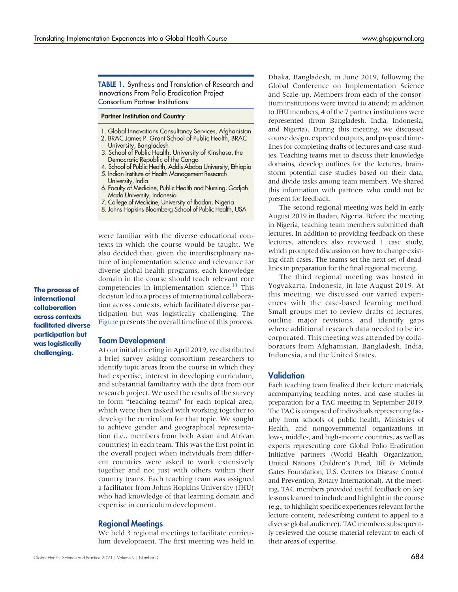<span id="page-2-0"></span>TABLE 1. Synthesis and Translation of Research and Innovations From Polio Eradication Project Consortium Partner Institutions

#### Partner Institution and Country

- 1. Global Innovations Consultancy Services, Afghanistan
- 2. BRAC James P. Grant School of Public Health, BRAC University, Bangladesh
- 3. School of Public Health, University of Kinshasa, the Democratic Republic of the Congo
- 4. School of Public Health, Addis Ababa University, Ethiopia
- 5. Indian Institute of Health Management Research University, India
- 6. Faculty of Medicine, Public Health and Nursing, Gadjah Mada University, Indonesia
- 7. College of Medicine, University of Ibadan, Nigeria
- 8. Johns Hopkins Bloomberg School of Public Health, USA

were familiar with the diverse educational contexts in which the course would be taught. We also decided that, given the interdisciplinary nature of implementation science and relevance for diverse global health programs, each knowledge domain in the course should teach relevant core competencies in implementation science.<sup>[11](#page-7-9)</sup> This decision led to a process of international collaboration across contexts, which facilitated diverse participation but was logistically challenging. The [Figure](#page-3-1) presents the overall timeline of this process.

The process of international collaboration across contexts facilitated diverse participation but was logistically challenging.

#### Team Development

At our initial meeting in April 2019, we distributed a brief survey asking consortium researchers to identify topic areas from the course in which they had expertise, interest in developing curriculum, and substantial familiarity with the data from our research project. We used the results of the survey to form "teaching teams" for each topical area, which were then tasked with working together to develop the curriculum for that topic. We sought to achieve gender and geographical representation (i.e., members from both Asian and African countries) in each team. This was the first point in the overall project when individuals from different countries were asked to work extensively together and not just with others within their country teams. Each teaching team was assigned a facilitator from Johns Hopkins University (JHU) who had knowledge of that learning domain and expertise in curriculum development.

#### Regional Meetings

We held 3 regional meetings to facilitate curriculum development. The first meeting was held in Dhaka, Bangladesh, in June 2019, following the Global Conference on Implementation Science and Scale-up. Members from each of the consortium institutions were invited to attend; in addition to JHU members, 4 of the 7 partner institutions were represented (from Bangladesh, India, Indonesia, and Nigeria). During this meeting, we discussed course design, expected outputs, and proposed timelines for completing drafts of lectures and case studies. Teaching teams met to discuss their knowledge domains, develop outlines for the lectures, brainstorm potential case studies based on their data, and divide tasks among team members. We shared this information with partners who could not be present for feedback.

The second regional meeting was held in early August 2019 in Ibadan, Nigeria. Before the meeting in Nigeria, teaching team members submitted draft lectures. In addition to providing feedback on these lectures, attendees also reviewed 1 case study, which prompted discussion on how to change existing draft cases. The teams set the next set of deadlines in preparation for the final regional meeting.

The third regional meeting was hosted in Yogyakarta, Indonesia, in late August 2019. At this meeting, we discussed our varied experiences with the case-based learning method. Small groups met to review drafts of lectures, outline major revisions, and identify gaps where additional research data needed to be incorporated. This meeting was attended by collaborators from Afghanistan, Bangladesh, India, Indonesia, and the United States.

#### Validation

Each teaching team finalized their lecture materials, accompanying teaching notes, and case studies in preparation for a TAC meeting in September 2019. The TAC is composed of individuals representing faculty from schools of public health, Ministries of Health, and nongovernmental organizations in low-, middle-, and high-income countries, as well as experts representing core Global Polio Eradication Initiative partners (World Health Organization, United Nations Children's Fund, Bill & Melinda Gates Foundation, U.S. Centers for Disease Control and Prevention, Rotary International). At the meeting, TAC members provided useful feedback on key lessons learned to include and highlight in the course (e.g., to highlight specific experiences relevant for the lecture content, redescribing content to appeal to a diverse global audience). TAC members subsequently reviewed the course material relevant to each of their areas of expertise.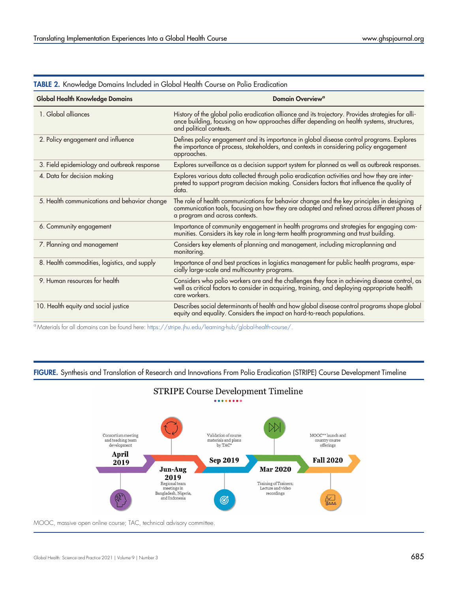| <b>Global Health Knowledge Domains</b>       | <b>Domain Overview<sup>a</sup></b>                                                                                                                                                                                          |  |
|----------------------------------------------|-----------------------------------------------------------------------------------------------------------------------------------------------------------------------------------------------------------------------------|--|
| 1. Global alliances                          | History of the global polio eradication alliance and its trajectory. Provides strategies for alli-<br>ance building, focusing on how approaches differ depending on health systems, structures,<br>and political contexts.  |  |
| 2. Policy engagement and influence           | Defines policy engagement and its importance in global disease control programs. Explores<br>the importance of process, stakeholders, and contexts in considering policy engagement<br>approaches.                          |  |
| 3. Field epidemiology and outbreak response  | Explores surveillance as a decision support system for planned as well as outbreak responses.                                                                                                                               |  |
| 4. Data for decision making                  | Explores various data collected through polio eradication activities and how they are inter-<br>preted to support program decision making. Considers factors that influence the quality of<br>data.                         |  |
| 5. Health communications and behavior change | The role of health communications for behavior change and the key principles in designing<br>communication tools, focusing on how they are adapted and refined across different phases of<br>a program and across contexts. |  |
| 6. Community engagement                      | Importance of community engagement in health programs and strategies for engaging com-<br>munities. Considers its key role in long-term health programming and trust building.                                              |  |
| 7. Planning and management                   | Considers key elements of planning and management, including microplanning and<br>monitoring.                                                                                                                               |  |
| 8. Health commodities, logistics, and supply | Importance of and best practices in logistics management for public health programs, espe-<br>cially large-scale and multicountry programs.                                                                                 |  |
| 9. Human resources for health                | Considers who polio workers are and the challenges they face in achieving disease control, as<br>well as critical factors to consider in acquiring, training, and deploying appropriate health<br>care workers.             |  |
| 10. Health equity and social justice         | Describes social determinants of health and how global disease control programs shape global<br>equity and equality. Considers the impact on hard-to-reach populations.                                                     |  |

<span id="page-3-1"></span><span id="page-3-0"></span>TABLE 2. Knowledge Domains Included in Global Health Course on Polio Eradication

<sup>a</sup> Materials for all domains can be found here: <https://stripe.jhu.edu/learning-hub/global-health-course/>.

FIGURE. Synthesis and Translation of Research and Innovations From Polio Eradication (STRIPE) Course Development Timeline

STRIPE Course Development Timeline



MOOC, massive open online course; TAC, technical advisory committee.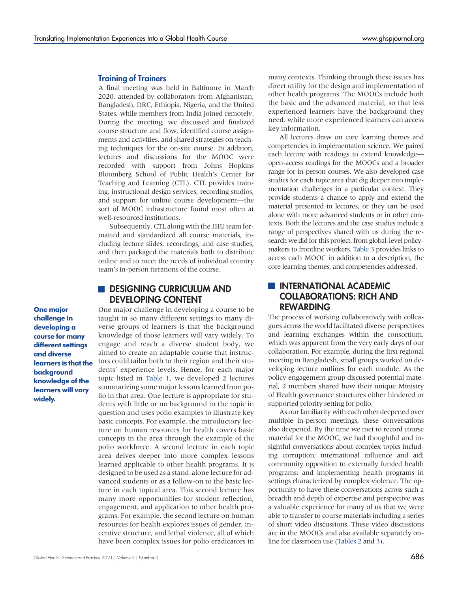#### Training of Trainers

A final meeting was held in Baltimore in March 2020, attended by collaborators from Afghanistan, Bangladesh, DRC, Ethiopia, Nigeria, and the United States, while members from India joined remotely. During the meeting, we discussed and finalized course structure and flow, identified course assignments and activities, and shared strategies on teaching techniques for the on-site course. In addition, lectures and discussions for the MOOC were recorded with support from Johns Hopkins Bloomberg School of Public Health's Center for Teaching and Learning (CTL). CTL provides training, instructional design services, recording studios, and support for online course development—the sort of MOOC infrastructure found most often at well-resourced institutions.

Subsequently, CTL along with the JHU team formatted and standardized all course materials, including lecture slides, recordings, and case studies, and then packaged the materials both to distribute online and to meet the needs of individual country team's in-person iterations of the course.

## **DESIGNING CURRICULUM AND** DEVELOPING CONTENT

One major challenge in developing a course to be taught in so many different settings to many diverse groups of learners is that the background knowledge of those learners will vary widely. To engage and reach a diverse student body, we aimed to create an adaptable course that instructors could tailor both to their region and their students' experience levels. Hence, for each major topic listed in [Table 1,](#page-2-0) we developed 2 lectures summarizing some major lessons learned from polio in that area. One lecture is appropriate for students with little or no background in the topic in question and uses polio examples to illustrate key basic concepts. For example, the introductory lecture on human resources for health covers basic concepts in the area through the example of the polio workforce. A second lecture in each topic area delves deeper into more complex lessons learned applicable to other health programs. It is designed to be used as a stand-alone lecture for advanced students or as a follow-on to the basic lecture in each topical area. This second lecture has many more opportunities for student reflection, engagement, and application to other health programs. For example, the second lecture on human resources for health explores issues of gender, incentive structure, and lethal violence, all of which have been complex issues for polio eradicators in many contexts. Thinking through these issues has direct utility for the design and implementation of other health programs. The MOOCs include both the basic and the advanced material, so that less experienced learners have the background they need, while more experienced learners can access key information.

All lectures draw on core learning themes and competencies in implementation science. We paired each lecture with readings to extend knowledge open-access readings for the MOOCs and a broader range for in-person courses. We also developed case studies for each topic area that dig deeper into implementation challenges in a particular context. They provide students a chance to apply and extend the material presented in lectures, or they can be used alone with more advanced students or in other contexts. Both the lectures and the case studies include a range of perspectives shared with us during the research we did for this project, from global-level policymakers to frontline workers. [Table 3](#page-5-0) provides links to access each MOOC in addition to a description, the core learning themes, and competencies addressed.

## **INTERNATIONAL ACADEMIC** COLLABORATIONS: RICH AND REWARDING

The process of working collaboratively with colleagues across the world facilitated diverse perspectives and learning exchanges within the consortium, which was apparent from the very early days of our collaboration. For example, during the first regional meeting in Bangladesh, small groups worked on developing lecture outlines for each module. As the policy engagement group discussed potential material, 2 members shared how their unique Ministry of Health governance structures either hindered or supported priority setting for polio.

As our familiarity with each other deepened over multiple in-person meetings, these conversations also deepened. By the time we met to record course material for the MOOC, we had thoughtful and insightful conversations about complex topics including corruption; international influence and aid; community opposition to externally funded health programs; and implementing health programs in settings characterized by complex violence. The opportunity to have these conversations across such a breadth and depth of expertise and perspective was a valuable experience for many of us that we were able to transfer to course materials including a series of short video discussions. These video discussions are in the MOOCs and also available separately online for classroom use [\(Tables 2](#page-3-0) and [3](#page-5-0)).

One major challenge in developing a course for many different settings and diverse learners is that the background knowledge of the learners will vary widely.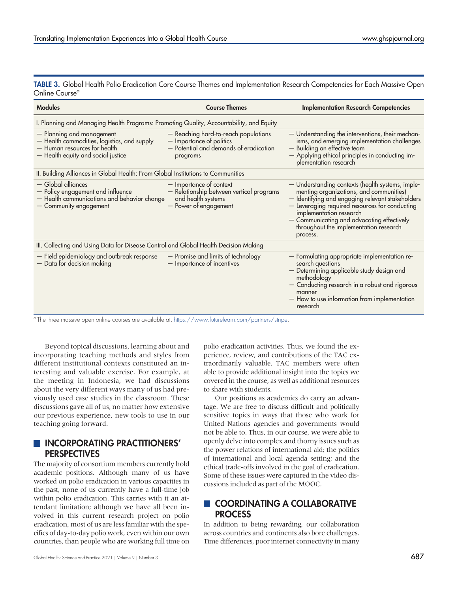<span id="page-5-0"></span>TABLE 3. Global Health Polio Eradication Core Course Themes and Implementation Research Competencies for Each Massive Open Online Course<sup>a</sup>

| <b>Modules</b>                                                                                                                                 | <b>Course Themes</b>                                                                                                   | <b>Implementation Research Competencies</b>                                                                                                                                                                                                                                                                                      |  |
|------------------------------------------------------------------------------------------------------------------------------------------------|------------------------------------------------------------------------------------------------------------------------|----------------------------------------------------------------------------------------------------------------------------------------------------------------------------------------------------------------------------------------------------------------------------------------------------------------------------------|--|
| I. Planning and Managing Health Programs: Promoting Quality, Accountability, and Equity                                                        |                                                                                                                        |                                                                                                                                                                                                                                                                                                                                  |  |
| - Planning and management<br>- Health commodities, logistics, and supply<br>- Human resources for health<br>- Health equity and social justice | - Reaching hard-to-reach populations<br>- Importance of politics<br>- Potential and demands of eradication<br>programs | - Understanding the interventions, their mechan-<br>isms, and emerging implementation challenges<br>- Building an effective team<br>- Applying ethical principles in conducting im-<br>plementation research                                                                                                                     |  |
| II. Building Alliances in Global Health: From Global Institutions to Communities                                                               |                                                                                                                        |                                                                                                                                                                                                                                                                                                                                  |  |
| $-$ Global alliances<br>- Policy engagement and influence<br>- Health communications and behavior change<br>- Community engagement             | - Importance of context<br>- Relationship between vertical programs<br>and health systems<br>- Power of engagement     | - Understanding contexts (health systems, imple-<br>menting organizations, and communities)<br>- Identifying and engaging relevant stakeholders<br>- Leveraging required resources for conducting<br>implementation research<br>- Communicating and advocating effectively<br>throughout the implementation research<br>process. |  |
| III. Collecting and Using Data for Disease Control and Global Health Decision Making                                                           |                                                                                                                        |                                                                                                                                                                                                                                                                                                                                  |  |
| - Field epidemiology and outbreak response<br>- Data for decision making                                                                       | - Promise and limits of technology<br>- Importance of incentives                                                       | - Formulating appropriate implementation re-<br>search questions<br>- Determining applicable study design and<br>methodology<br>- Conducting research in a robust and rigorous<br>manner<br>- How to use information from implementation<br>research                                                                             |  |

<sup>a</sup> The three massive open online courses are available at: <https://www.futurelearn.com/partners/stripe>.

Beyond topical discussions, learning about and incorporating teaching methods and styles from different institutional contexts constituted an interesting and valuable exercise. For example, at the meeting in Indonesia, we had discussions about the very different ways many of us had previously used case studies in the classroom. These discussions gave all of us, no matter how extensive our previous experience, new tools to use in our teaching going forward.

#### **INCORPORATING PRACTITIONERS' PERSPECTIVES**

The majority of consortium members currently hold academic positions. Although many of us have worked on polio eradication in various capacities in the past, none of us currently have a full-time job within polio eradication. This carries with it an attendant limitation; although we have all been involved in this current research project on polio eradication, most of us are less familiar with the specifics of day-to-day polio work, even within our own countries, than people who are working full time on

polio eradication activities. Thus, we found the experience, review, and contributions of the TAC extraordinarily valuable. TAC members were often able to provide additional insight into the topics we covered in the course, as well as additional resources to share with students.

Our positions as academics do carry an advantage. We are free to discuss difficult and politically sensitive topics in ways that those who work for United Nations agencies and governments would not be able to. Thus, in our course, we were able to openly delve into complex and thorny issues such as the power relations of international aid; the politics of international and local agenda setting; and the ethical trade-offs involved in the goal of eradication. Some of these issues were captured in the video discussions included as part of the MOOC.

# COORDINATING A COLLABORATIVE **PROCESS**

In addition to being rewarding, our collaboration across countries and continents also bore challenges. Time differences, poor internet connectivity in many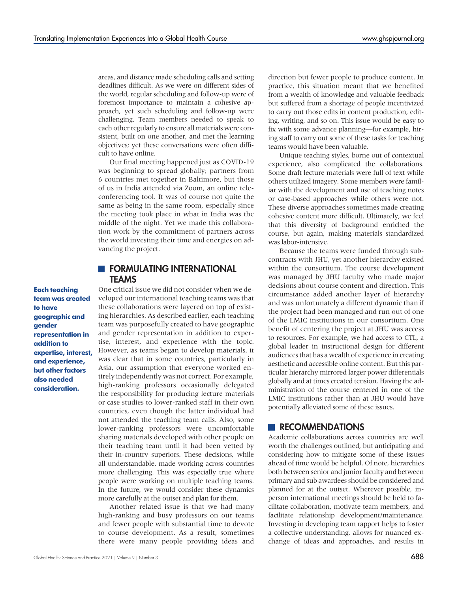areas, and distance made scheduling calls and setting deadlines difficult. As we were on different sides of the world, regular scheduling and follow-up were of foremost importance to maintain a cohesive approach, yet such scheduling and follow-up were challenging. Team members needed to speak to each other regularly to ensure all materials were consistent, built on one another, and met the learning objectives; yet these conversations were often difficult to have online.

Our final meeting happened just as COVID-19 was beginning to spread globally; partners from 6 countries met together in Baltimore, but those of us in India attended via Zoom, an online teleconferencing tool. It was of course not quite the same as being in the same room, especially since the meeting took place in what in India was the middle of the night. Yet we made this collaboration work by the commitment of partners across the world investing their time and energies on advancing the project.

#### **FORMULATING INTERNATIONAL TFAMS**

Each teaching team was created to have geographic and gender representation in addition to expertise, interest, and experience, but other factors also needed consideration.

One critical issue we did not consider when we developed our international teaching teams was that these collaborations were layered on top of existing hierarchies. As described earlier, each teaching team was purposefully created to have geographic and gender representation in addition to expertise, interest, and experience with the topic. However, as teams began to develop materials, it was clear that in some countries, particularly in Asia, our assumption that everyone worked entirely independently was not correct. For example, high-ranking professors occasionally delegated the responsibility for producing lecture materials or case studies to lower-ranked staff in their own countries, even though the latter individual had not attended the teaching team calls. Also, some lower-ranking professors were uncomfortable sharing materials developed with other people on their teaching team until it had been vetted by their in-country superiors. These decisions, while all understandable, made working across countries more challenging. This was especially true where people were working on multiple teaching teams. In the future, we would consider these dynamics more carefully at the outset and plan for them.

Another related issue is that we had many high-ranking and busy professors on our teams and fewer people with substantial time to devote to course development. As a result, sometimes there were many people providing ideas and

direction but fewer people to produce content. In practice, this situation meant that we benefited from a wealth of knowledge and valuable feedback but suffered from a shortage of people incentivized to carry out those edits in content production, editing, writing, and so on. This issue would be easy to fix with some advance planning—for example, hiring staff to carry out some of these tasks for teaching teams would have been valuable.

Unique teaching styles, borne out of contextual experience, also complicated the collaborations. Some draft lecture materials were full of text while others utilized imagery. Some members were familiar with the development and use of teaching notes or case-based approaches while others were not. These diverse approaches sometimes made creating cohesive content more difficult. Ultimately, we feel that this diversity of background enriched the course, but again, making materials standardized was labor-intensive.

Because the teams were funded through subcontracts with JHU, yet another hierarchy existed within the consortium. The course development was managed by JHU faculty who made major decisions about course content and direction. This circumstance added another layer of hierarchy and was unfortunately a different dynamic than if the project had been managed and run out of one of the LMIC institutions in our consortium. One benefit of centering the project at JHU was access to resources. For example, we had access to CTL, a global leader in instructional design for different audiences that has a wealth of experience in creating aesthetic and accessible online content. But this particular hierarchy mirrored larger power differentials globally and at times created tension. Having the administration of the course centered in one of the LMIC institutions rather than at JHU would have potentially alleviated some of these issues.

#### **RECOMMENDATIONS**

Academic collaborations across countries are well worth the challenges outlined, but anticipating and considering how to mitigate some of these issues ahead of time would be helpful. Of note, hierarchies both between senior and junior faculty and between primary and sub awardees should be considered and planned for at the outset. Wherever possible, inperson international meetings should be held to facilitate collaboration, motivate team members, and facilitate relationship development/maintenance. Investing in developing team rapport helps to foster a collective understanding, allows for nuanced exchange of ideas and approaches, and results in